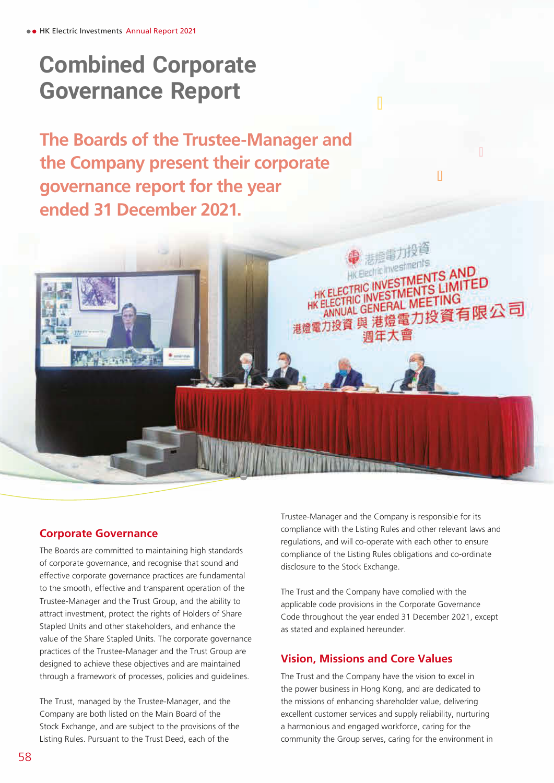**The Boards of the Trustee-Manager and the Company present their corporate governance report for the year ended 31 December 2021.**



The Boards are committed to maintaining high standards of corporate governance, and recognise that sound and effective corporate governance practices are fundamental to the smooth, effective and transparent operation of the Trustee-Manager and the Trust Group, and the ability to attract investment, protect the rights of Holders of Share Stapled Units and other stakeholders, and enhance the value of the Share Stapled Units. The corporate governance practices of the Trustee-Manager and the Trust Group are designed to achieve these objectives and are maintained through a framework of processes, policies and guidelines.

**Dealer Street** 

The Trust, managed by the Trustee-Manager, and the Company are both listed on the Main Board of the Stock Exchange, and are subject to the provisions of the Listing Rules. Pursuant to the Trust Deed, each of the

Trustee-Manager and the Company is responsible for its compliance with the Listing Rules and other relevant laws and regulations, and will co-operate with each other to ensure compliance of the Listing Rules obligations and co-ordinate disclosure to the Stock Exchange.

 $\Box$ 

悲煙電力投資

HK ELECTRIC INVESTMENTS AND HK ELECTRIC INVESTMENTS LIMITED ELECTRIC INVESTMENTS<br>ANNUAL GENERAL MEETING

调年大曹

**HK ELECTRIC GENERAL MEETING**<br>港燈電力投資 與 港燈電力投資有限公司

HK Electric Investme

The Trust and the Company have complied with the applicable code provisions in the Corporate Governance Code throughout the year ended 31 December 2021, except as stated and explained hereunder.

## **Vision, Missions and Core Values**

The Trust and the Company have the vision to excel in the power business in Hong Kong, and are dedicated to the missions of enhancing shareholder value, delivering excellent customer services and supply reliability, nurturing a harmonious and engaged workforce, caring for the community the Group serves, caring for the environment in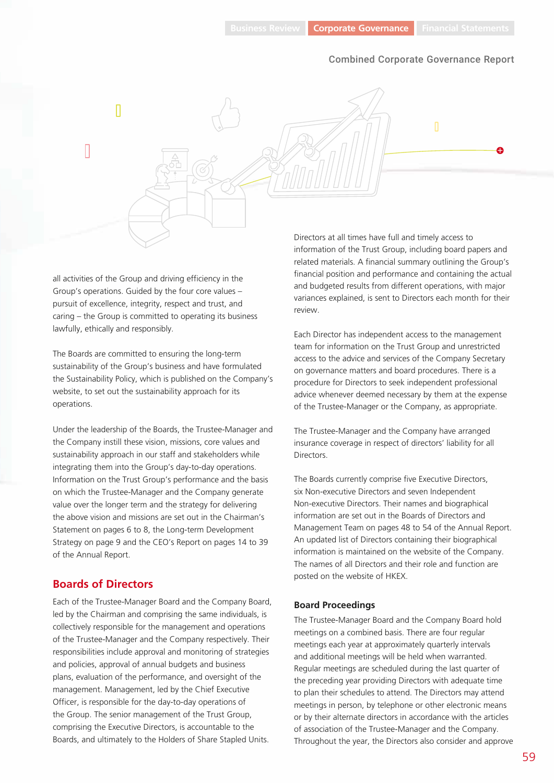

all activities of the Group and driving efficiency in the Group's operations. Guided by the four core values – pursuit of excellence, integrity, respect and trust, and caring – the Group is committed to operating its business lawfully, ethically and responsibly.

The Boards are committed to ensuring the long-term sustainability of the Group's business and have formulated the Sustainability Policy, which is published on the Company's website, to set out the sustainability approach for its operations.

Under the leadership of the Boards, the Trustee-Manager and the Company instill these vision, missions, core values and sustainability approach in our staff and stakeholders while integrating them into the Group's day-to-day operations. Information on the Trust Group's performance and the basis on which the Trustee-Manager and the Company generate value over the longer term and the strategy for delivering the above vision and missions are set out in the Chairman's Statement on pages 6 to 8, the Long-term Development Strategy on page 9 and the CEO's Report on pages 14 to 39 of the Annual Report.

## **Boards of Directors**

Each of the Trustee-Manager Board and the Company Board, led by the Chairman and comprising the same individuals, is collectively responsible for the management and operations of the Trustee-Manager and the Company respectively. Their responsibilities include approval and monitoring of strategies and policies, approval of annual budgets and business plans, evaluation of the performance, and oversight of the management. Management, led by the Chief Executive Officer, is responsible for the day-to-day operations of the Group. The senior management of the Trust Group, comprising the Executive Directors, is accountable to the Boards, and ultimately to the Holders of Share Stapled Units.

Directors at all times have full and timely access to information of the Trust Group, including board papers and related materials. A financial summary outlining the Group's financial position and performance and containing the actual and budgeted results from different operations, with major variances explained, is sent to Directors each month for their review.

Each Director has independent access to the management team for information on the Trust Group and unrestricted access to the advice and services of the Company Secretary on governance matters and board procedures. There is a procedure for Directors to seek independent professional advice whenever deemed necessary by them at the expense of the Trustee-Manager or the Company, as appropriate.

The Trustee-Manager and the Company have arranged insurance coverage in respect of directors' liability for all **Directors** 

The Boards currently comprise five Executive Directors, six Non-executive Directors and seven Independent Non-executive Directors. Their names and biographical information are set out in the Boards of Directors and Management Team on pages 48 to 54 of the Annual Report. An updated list of Directors containing their biographical information is maintained on the website of the Company. The names of all Directors and their role and function are posted on the website of HKEX.

#### **Board Proceedings**

The Trustee-Manager Board and the Company Board hold meetings on a combined basis. There are four regular meetings each year at approximately quarterly intervals and additional meetings will be held when warranted. Regular meetings are scheduled during the last quarter of the preceding year providing Directors with adequate time to plan their schedules to attend. The Directors may attend meetings in person, by telephone or other electronic means or by their alternate directors in accordance with the articles of association of the Trustee-Manager and the Company. Throughout the year, the Directors also consider and approve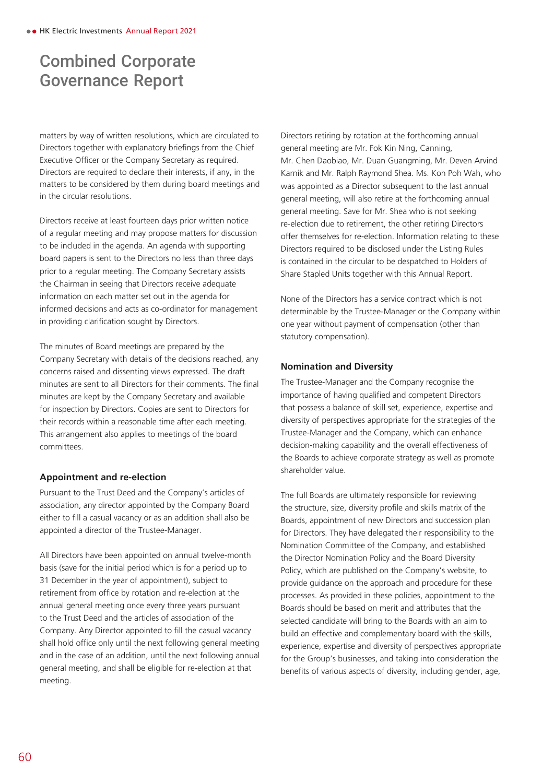matters by way of written resolutions, which are circulated to Directors together with explanatory briefings from the Chief Executive Officer or the Company Secretary as required. Directors are required to declare their interests, if any, in the matters to be considered by them during board meetings and in the circular resolutions.

Directors receive at least fourteen days prior written notice of a regular meeting and may propose matters for discussion to be included in the agenda. An agenda with supporting board papers is sent to the Directors no less than three days prior to a regular meeting. The Company Secretary assists the Chairman in seeing that Directors receive adequate information on each matter set out in the agenda for informed decisions and acts as co-ordinator for management in providing clarification sought by Directors.

The minutes of Board meetings are prepared by the Company Secretary with details of the decisions reached, any concerns raised and dissenting views expressed. The draft minutes are sent to all Directors for their comments. The final minutes are kept by the Company Secretary and available for inspection by Directors. Copies are sent to Directors for their records within a reasonable time after each meeting. This arrangement also applies to meetings of the board committees.

## **Appointment and re-election**

Pursuant to the Trust Deed and the Company's articles of association, any director appointed by the Company Board either to fill a casual vacancy or as an addition shall also be appointed a director of the Trustee-Manager.

All Directors have been appointed on annual twelve-month basis (save for the initial period which is for a period up to 31 December in the year of appointment), subject to retirement from office by rotation and re-election at the annual general meeting once every three years pursuant to the Trust Deed and the articles of association of the Company. Any Director appointed to fill the casual vacancy shall hold office only until the next following general meeting and in the case of an addition, until the next following annual general meeting, and shall be eligible for re-election at that meeting.

Directors retiring by rotation at the forthcoming annual general meeting are Mr. Fok Kin Ning, Canning, Mr. Chen Daobiao, Mr. Duan Guangming, Mr. Deven Arvind Karnik and Mr. Ralph Raymond Shea. Ms. Koh Poh Wah, who was appointed as a Director subsequent to the last annual general meeting, will also retire at the forthcoming annual general meeting. Save for Mr. Shea who is not seeking re-election due to retirement, the other retiring Directors offer themselves for re-election. Information relating to these Directors required to be disclosed under the Listing Rules is contained in the circular to be despatched to Holders of Share Stapled Units together with this Annual Report.

None of the Directors has a service contract which is not determinable by the Trustee-Manager or the Company within one year without payment of compensation (other than statutory compensation).

#### **Nomination and Diversity**

The Trustee-Manager and the Company recognise the importance of having qualified and competent Directors that possess a balance of skill set, experience, expertise and diversity of perspectives appropriate for the strategies of the Trustee-Manager and the Company, which can enhance decision-making capability and the overall effectiveness of the Boards to achieve corporate strategy as well as promote shareholder value.

The full Boards are ultimately responsible for reviewing the structure, size, diversity profile and skills matrix of the Boards, appointment of new Directors and succession plan for Directors. They have delegated their responsibility to the Nomination Committee of the Company, and established the Director Nomination Policy and the Board Diversity Policy, which are published on the Company's website, to provide guidance on the approach and procedure for these processes. As provided in these policies, appointment to the Boards should be based on merit and attributes that the selected candidate will bring to the Boards with an aim to build an effective and complementary board with the skills, experience, expertise and diversity of perspectives appropriate for the Group's businesses, and taking into consideration the benefits of various aspects of diversity, including gender, age,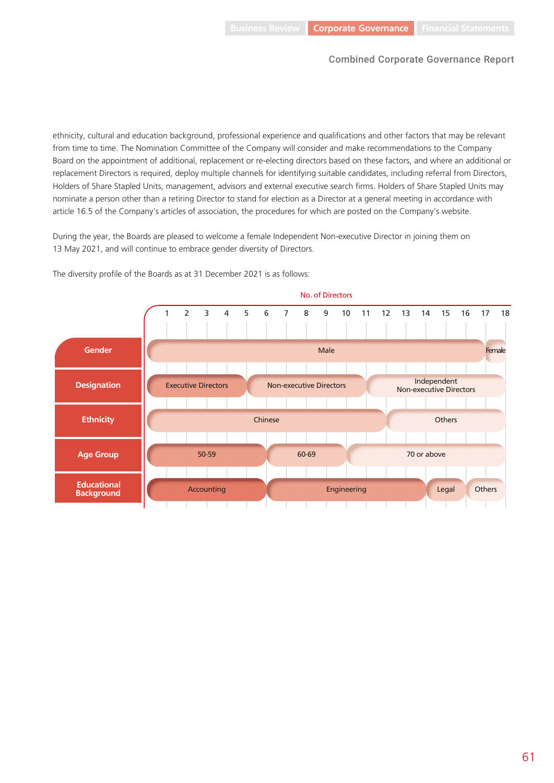ethnicity, cultural and education background, professional experience and qualifications and other factors that may be relevant from time to time. The Nomination Committee of the Company will consider and make recommendations to the Company Board on the appointment of additional, replacement or re-electing directors based on these factors, and where an additional or replacement Directors is required, deploy multiple channels for identifying suitable candidates, including referral from Directors, Holders of Share Stapled Units, management, advisors and external executive search firms. Holders of Share Stapled Units may nominate a person other than a retiring Director to stand for election as a Director at a general meeting in accordance with article 16.5 of the Company's articles of association, the procedures for which are posted on the Company's website.

During the year, the Boards are pleased to welcome a female Independent Non-executive Director in joining them on 13 May 2021, and will continue to embrace gender diversity of Directors.



The diversity profile of the Boards as at 31 December 2021 is as follows: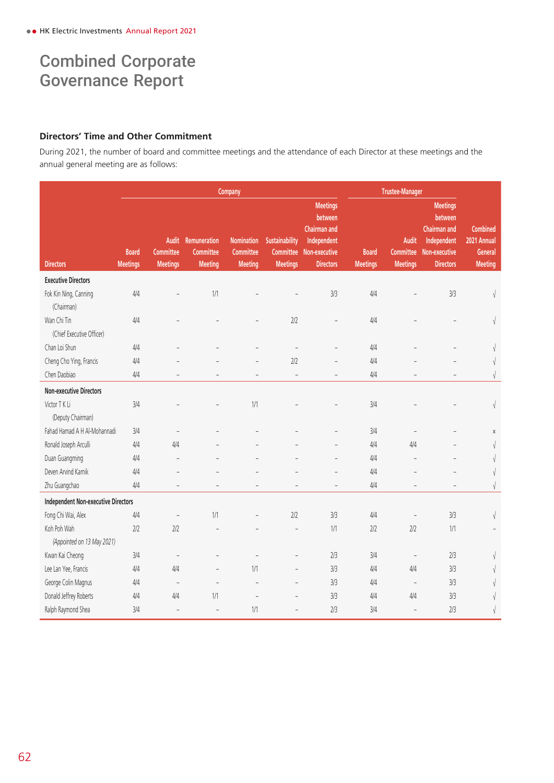## **Directors' Time and Other Commitment**

During 2021, the number of board and committee meetings and the attendance of each Director at these meetings and the annual general meeting are as follows:

|                                            |                                 | Company                                      |                                             |                                                  |                                                |                                                                                                       | <b>Trustee-Manager</b>          |                                                     |                                                                                                       |                                                             |
|--------------------------------------------|---------------------------------|----------------------------------------------|---------------------------------------------|--------------------------------------------------|------------------------------------------------|-------------------------------------------------------------------------------------------------------|---------------------------------|-----------------------------------------------------|-------------------------------------------------------------------------------------------------------|-------------------------------------------------------------|
| <b>Directors</b>                           | <b>Board</b><br><b>Meetings</b> | Audit<br><b>Committee</b><br><b>Meetings</b> | Remuneration<br>Committee<br><b>Meeting</b> | <b>Nomination</b><br>Committee<br><b>Meeting</b> | Sustainability<br>Committee<br><b>Meetings</b> | <b>Meetings</b><br>between<br><b>Chairman and</b><br>Independent<br>Non-executive<br><b>Directors</b> | <b>Board</b><br><b>Meetings</b> | <b>Audit</b><br><b>Committee</b><br><b>Meetings</b> | <b>Meetings</b><br>between<br><b>Chairman and</b><br>Independent<br>Non-executive<br><b>Directors</b> | <b>Combined</b><br>2021 Annual<br>General<br><b>Meeting</b> |
| <b>Executive Directors</b>                 |                                 |                                              |                                             |                                                  |                                                |                                                                                                       |                                 |                                                     |                                                                                                       |                                                             |
| Fok Kin Ning, Canning                      | 4/4                             |                                              | 1/1                                         |                                                  |                                                | 3/3                                                                                                   | 4/4                             |                                                     | 3/3                                                                                                   | $\sqrt{}$                                                   |
| (Chairman)                                 |                                 |                                              |                                             |                                                  |                                                |                                                                                                       |                                 |                                                     |                                                                                                       |                                                             |
| Wan Chi Tin                                | 4/4                             |                                              |                                             |                                                  | 2/2                                            |                                                                                                       | 4/4                             |                                                     |                                                                                                       | $\sqrt{}$                                                   |
| (Chief Executive Officer)                  |                                 |                                              |                                             |                                                  |                                                |                                                                                                       |                                 |                                                     |                                                                                                       |                                                             |
| Chan Loi Shun                              | 4/4                             |                                              |                                             |                                                  |                                                |                                                                                                       | 4/4                             |                                                     |                                                                                                       | V                                                           |
| Cheng Cho Ying, Francis                    | 4/4                             |                                              |                                             | $\overline{a}$                                   | 2/2                                            |                                                                                                       | 4/4                             |                                                     |                                                                                                       | $\sqrt{ }$                                                  |
| Chen Daobiao                               | 4/4                             |                                              |                                             | $\equiv$                                         | $\overline{a}$                                 |                                                                                                       | 4/4                             |                                                     |                                                                                                       | $\sqrt{ }$                                                  |
| <b>Non-executive Directors</b>             |                                 |                                              |                                             |                                                  |                                                |                                                                                                       |                                 |                                                     |                                                                                                       |                                                             |
| Victor T K Li                              | 3/4                             |                                              |                                             | 1/1                                              |                                                |                                                                                                       | 3/4                             |                                                     |                                                                                                       | $\sqrt{\phantom{a}}$                                        |
| (Deputy Chairman)                          |                                 |                                              |                                             |                                                  |                                                |                                                                                                       |                                 |                                                     |                                                                                                       |                                                             |
| Fahad Hamad A H Al-Mohannadi               | 3/4                             | $\overline{a}$                               |                                             |                                                  |                                                |                                                                                                       | 3/4                             |                                                     |                                                                                                       | $\mathsf X$                                                 |
| Ronald Joseph Arculli                      | 4/4                             | 4/4                                          |                                             |                                                  |                                                |                                                                                                       | 4/4                             | 4/4                                                 |                                                                                                       | $\sqrt{ }$                                                  |
| Duan Guangming                             | 4/4                             | $\overline{a}$                               |                                             |                                                  |                                                |                                                                                                       | 4/4                             | $\overline{\phantom{a}}$                            |                                                                                                       | V                                                           |
| Deven Arvind Karnik                        | 4/4                             |                                              |                                             |                                                  |                                                | $\overline{a}$                                                                                        | 4/4                             |                                                     |                                                                                                       |                                                             |
| Zhu Guangchao                              | 4/4                             | $\qquad \qquad -$                            | $\overline{a}$                              | $\overline{a}$                                   | $\overline{a}$                                 | $\overline{a}$                                                                                        | 4/4                             | L,                                                  | $\overline{a}$                                                                                        | $\sqrt{\phantom{a}}$                                        |
| <b>Independent Non-executive Directors</b> |                                 |                                              |                                             |                                                  |                                                |                                                                                                       |                                 |                                                     |                                                                                                       |                                                             |
| Fong Chi Wai, Alex                         | 4/4                             | $\overline{a}$                               | 1/1                                         |                                                  | 2/2                                            | 3/3                                                                                                   | 4/4                             |                                                     | 3/3                                                                                                   | $\sqrt{ }$                                                  |
| Koh Poh Wah                                | 2/2                             | 2/2                                          |                                             |                                                  |                                                | 1/1                                                                                                   | 2/2                             | 2/2                                                 | 1/1                                                                                                   |                                                             |
| (Appointed on 13 May 2021)                 |                                 |                                              |                                             |                                                  |                                                |                                                                                                       |                                 |                                                     |                                                                                                       |                                                             |
| Kwan Kai Cheong                            | 3/4                             | $\overline{a}$                               |                                             |                                                  |                                                | 2/3                                                                                                   | 3/4                             | $\overline{\phantom{a}}$                            | 2/3                                                                                                   | V                                                           |
| Lee Lan Yee, Francis                       | 4/4                             | 4/4                                          | $\overline{a}$                              | 1/1                                              | $\overline{a}$                                 | 3/3                                                                                                   | 4/4                             | 4/4                                                 | 3/3                                                                                                   | V                                                           |
| George Colin Magnus                        | 4/4                             | $\overline{\phantom{a}}$                     | $\overline{\phantom{a}}$                    |                                                  |                                                | 3/3                                                                                                   | 4/4                             | $\overline{\phantom{m}}$                            | 3/3                                                                                                   | V                                                           |
| Donald Jeffrey Roberts                     | 4/4                             | 4/4                                          | 1/1                                         | $\overline{a}$                                   |                                                | 3/3                                                                                                   | 4/4                             | 4/4                                                 | 3/3                                                                                                   |                                                             |
| Ralph Raymond Shea                         | 3/4                             | $\overline{\phantom{0}}$                     | $\overline{a}$                              | 1/1                                              |                                                | 2/3                                                                                                   | 3/4                             | $\overline{\phantom{a}}$                            | 2/3                                                                                                   | V                                                           |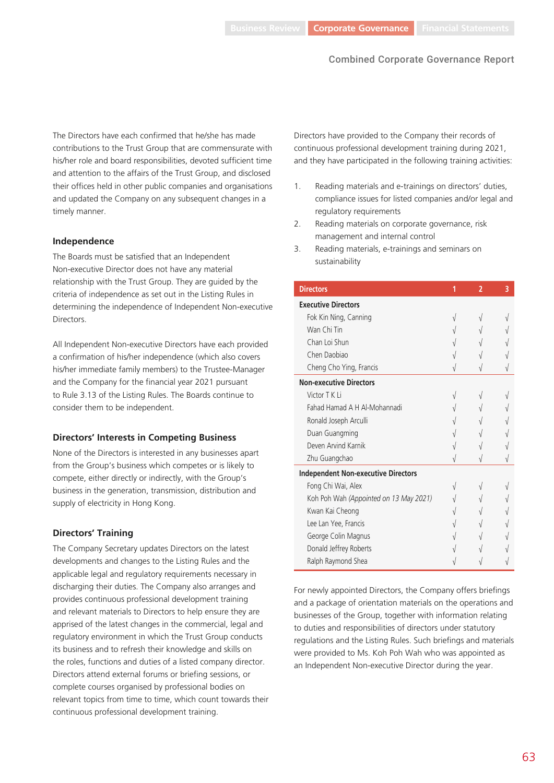The Directors have each confirmed that he/she has made contributions to the Trust Group that are commensurate with his/her role and board responsibilities, devoted sufficient time and attention to the affairs of the Trust Group, and disclosed their offices held in other public companies and organisations and updated the Company on any subsequent changes in a timely manner.

## **Independence**

The Boards must be satisfied that an Independent Non-executive Director does not have any material relationship with the Trust Group. They are guided by the criteria of independence as set out in the Listing Rules in determining the independence of Independent Non-executive **Directors** 

All Independent Non-executive Directors have each provided a confirmation of his/her independence (which also covers his/her immediate family members) to the Trustee-Manager and the Company for the financial year 2021 pursuant to Rule 3.13 of the Listing Rules. The Boards continue to consider them to be independent.

## **Directors' Interests in Competing Business**

None of the Directors is interested in any businesses apart from the Group's business which competes or is likely to compete, either directly or indirectly, with the Group's business in the generation, transmission, distribution and supply of electricity in Hong Kong.

## **Directors' Training**

The Company Secretary updates Directors on the latest developments and changes to the Listing Rules and the applicable legal and regulatory requirements necessary in discharging their duties. The Company also arranges and provides continuous professional development training and relevant materials to Directors to help ensure they are apprised of the latest changes in the commercial, legal and regulatory environment in which the Trust Group conducts its business and to refresh their knowledge and skills on the roles, functions and duties of a listed company director. Directors attend external forums or briefing sessions, or complete courses organised by professional bodies on relevant topics from time to time, which count towards their continuous professional development training.

Directors have provided to the Company their records of continuous professional development training during 2021, and they have participated in the following training activities:

- 1. Reading materials and e-trainings on directors' duties, compliance issues for listed companies and/or legal and regulatory requirements
- 2. Reading materials on corporate governance, risk management and internal control
- 3. Reading materials, e-trainings and seminars on sustainability

| <b>Directors</b>                           | 2 | 3 |
|--------------------------------------------|---|---|
| <b>Executive Directors</b>                 |   |   |
| Fok Kin Ning, Canning                      |   |   |
| Wan Chi Tin                                |   |   |
| Chan Loi Shun                              |   |   |
| Chen Daobiao                               |   |   |
| Cheng Cho Ying, Francis                    |   |   |
| <b>Non-executive Directors</b>             |   |   |
| Victor T K Li                              |   |   |
| Fahad Hamad A H Al-Mohannadi               |   |   |
| Ronald Joseph Arculli                      |   |   |
| Duan Guangming                             |   |   |
| Deven Arvind Karnik                        |   |   |
| Zhu Guangchao                              |   |   |
| <b>Independent Non-executive Directors</b> |   |   |
| Fong Chi Wai, Alex                         |   |   |
| Koh Poh Wah (Appointed on 13 May 2021)     |   |   |
| Kwan Kai Cheong                            |   |   |
| Lee Lan Yee, Francis                       |   |   |
| George Colin Magnus                        |   |   |
| Donald Jeffrey Roberts                     |   |   |
| Ralph Raymond Shea                         |   |   |

For newly appointed Directors, the Company offers briefings and a package of orientation materials on the operations and businesses of the Group, together with information relating to duties and responsibilities of directors under statutory regulations and the Listing Rules. Such briefings and materials were provided to Ms. Koh Poh Wah who was appointed as an Independent Non-executive Director during the year.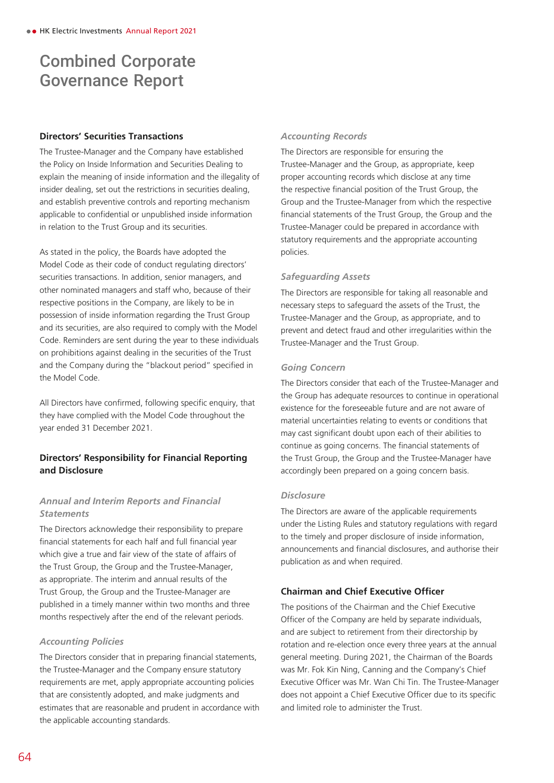## **Directors' Securities Transactions**

The Trustee-Manager and the Company have established the Policy on Inside Information and Securities Dealing to explain the meaning of inside information and the illegality of insider dealing, set out the restrictions in securities dealing, and establish preventive controls and reporting mechanism applicable to confidential or unpublished inside information in relation to the Trust Group and its securities.

As stated in the policy, the Boards have adopted the Model Code as their code of conduct regulating directors' securities transactions. In addition, senior managers, and other nominated managers and staff who, because of their respective positions in the Company, are likely to be in possession of inside information regarding the Trust Group and its securities, are also required to comply with the Model Code. Reminders are sent during the year to these individuals on prohibitions against dealing in the securities of the Trust and the Company during the "blackout period" specified in the Model Code.

All Directors have confirmed, following specific enquiry, that they have complied with the Model Code throughout the year ended 31 December 2021.

## **Directors' Responsibility for Financial Reporting and Disclosure**

## *Annual and Interim Reports and Financial Statements*

The Directors acknowledge their responsibility to prepare financial statements for each half and full financial year which give a true and fair view of the state of affairs of the Trust Group, the Group and the Trustee-Manager, as appropriate. The interim and annual results of the Trust Group, the Group and the Trustee-Manager are published in a timely manner within two months and three months respectively after the end of the relevant periods.

## *Accounting Policies*

The Directors consider that in preparing financial statements, the Trustee-Manager and the Company ensure statutory requirements are met, apply appropriate accounting policies that are consistently adopted, and make judgments and estimates that are reasonable and prudent in accordance with the applicable accounting standards.

## *Accounting Records*

The Directors are responsible for ensuring the Trustee-Manager and the Group, as appropriate, keep proper accounting records which disclose at any time the respective financial position of the Trust Group, the Group and the Trustee-Manager from which the respective financial statements of the Trust Group, the Group and the Trustee-Manager could be prepared in accordance with statutory requirements and the appropriate accounting policies.

#### *Safeguarding Assets*

The Directors are responsible for taking all reasonable and necessary steps to safeguard the assets of the Trust, the Trustee-Manager and the Group, as appropriate, and to prevent and detect fraud and other irregularities within the Trustee-Manager and the Trust Group.

#### *Going Concern*

The Directors consider that each of the Trustee-Manager and the Group has adequate resources to continue in operational existence for the foreseeable future and are not aware of material uncertainties relating to events or conditions that may cast significant doubt upon each of their abilities to continue as going concerns. The financial statements of the Trust Group, the Group and the Trustee-Manager have accordingly been prepared on a going concern basis.

#### *Disclosure*

The Directors are aware of the applicable requirements under the Listing Rules and statutory regulations with regard to the timely and proper disclosure of inside information, announcements and financial disclosures, and authorise their publication as and when required.

## **Chairman and Chief Executive Officer**

The positions of the Chairman and the Chief Executive Officer of the Company are held by separate individuals, and are subject to retirement from their directorship by rotation and re-election once every three years at the annual general meeting. During 2021, the Chairman of the Boards was Mr. Fok Kin Ning, Canning and the Company's Chief Executive Officer was Mr. Wan Chi Tin. The Trustee-Manager does not appoint a Chief Executive Officer due to its specific and limited role to administer the Trust.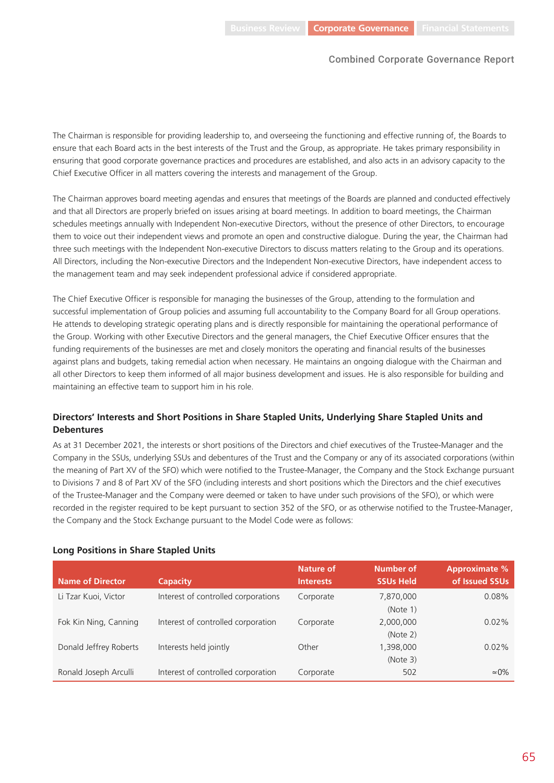The Chairman is responsible for providing leadership to, and overseeing the functioning and effective running of, the Boards to ensure that each Board acts in the best interests of the Trust and the Group, as appropriate. He takes primary responsibility in ensuring that good corporate governance practices and procedures are established, and also acts in an advisory capacity to the Chief Executive Officer in all matters covering the interests and management of the Group.

The Chairman approves board meeting agendas and ensures that meetings of the Boards are planned and conducted effectively and that all Directors are properly briefed on issues arising at board meetings. In addition to board meetings, the Chairman schedules meetings annually with Independent Non-executive Directors, without the presence of other Directors, to encourage them to voice out their independent views and promote an open and constructive dialogue. During the year, the Chairman had three such meetings with the Independent Non-executive Directors to discuss matters relating to the Group and its operations. All Directors, including the Non-executive Directors and the Independent Non-executive Directors, have independent access to the management team and may seek independent professional advice if considered appropriate.

The Chief Executive Officer is responsible for managing the businesses of the Group, attending to the formulation and successful implementation of Group policies and assuming full accountability to the Company Board for all Group operations. He attends to developing strategic operating plans and is directly responsible for maintaining the operational performance of the Group. Working with other Executive Directors and the general managers, the Chief Executive Officer ensures that the funding requirements of the businesses are met and closely monitors the operating and financial results of the businesses against plans and budgets, taking remedial action when necessary. He maintains an ongoing dialogue with the Chairman and all other Directors to keep them informed of all major business development and issues. He is also responsible for building and maintaining an effective team to support him in his role.

## **Directors' Interests and Short Positions in Share Stapled Units, Underlying Share Stapled Units and Debentures**

As at 31 December 2021, the interests or short positions of the Directors and chief executives of the Trustee-Manager and the Company in the SSUs, underlying SSUs and debentures of the Trust and the Company or any of its associated corporations (within the meaning of Part XV of the SFO) which were notified to the Trustee-Manager, the Company and the Stock Exchange pursuant to Divisions 7 and 8 of Part XV of the SFO (including interests and short positions which the Directors and the chief executives of the Trustee-Manager and the Company were deemed or taken to have under such provisions of the SFO), or which were recorded in the register required to be kept pursuant to section 352 of the SFO, or as otherwise notified to the Trustee-Manager, the Company and the Stock Exchange pursuant to the Model Code were as follows:

| <b>Name of Director</b> | <b>Capacity</b>                     | <b>Nature of</b><br><b>Interests</b> | Number of<br><b>SSUs Held</b> | <b>Approximate %</b><br>of Issued SSUs |
|-------------------------|-------------------------------------|--------------------------------------|-------------------------------|----------------------------------------|
| Li Tzar Kuoi, Victor    | Interest of controlled corporations | Corporate                            | 7,870,000<br>(Note 1)         | 0.08%                                  |
| Fok Kin Ning, Canning   | Interest of controlled corporation  | Corporate                            | 2,000,000                     | 0.02%                                  |
| Donald Jeffrey Roberts  | Interests held jointly              | Other                                | (Note 2)<br>1,398,000         | 0.02%                                  |
| Ronald Joseph Arculli   | Interest of controlled corporation  | Corporate                            | (Note 3)<br>502               | $\simeq$ 0%                            |

## **Long Positions in Share Stapled Units**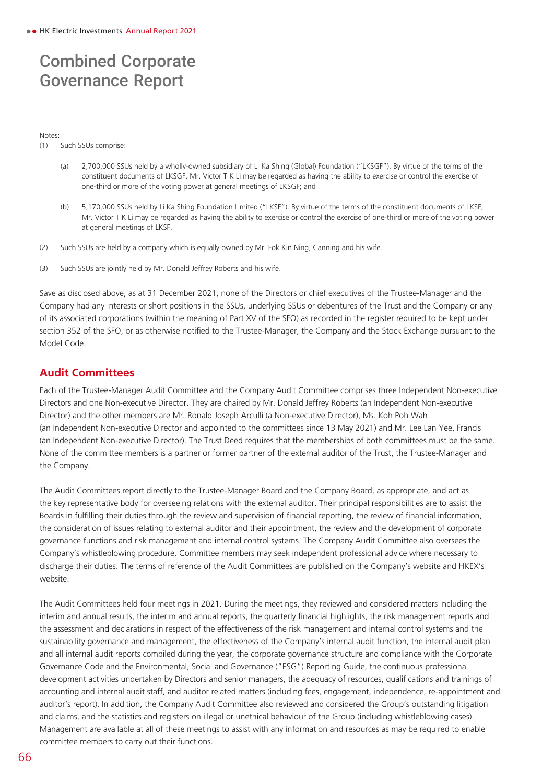#### Notes:

(1) Such SSUs comprise:

- (a) 2,700,000 SSUs held by a wholly-owned subsidiary of Li Ka Shing (Global) Foundation ("LKSGF"). By virtue of the terms of the constituent documents of LKSGF, Mr. Victor T K Li may be regarded as having the ability to exercise or control the exercise of one-third or more of the voting power at general meetings of LKSGF; and
- (b) 5,170,000 SSUs held by Li Ka Shing Foundation Limited ("LKSF"). By virtue of the terms of the constituent documents of LKSF, Mr. Victor T K Li may be regarded as having the ability to exercise or control the exercise of one-third or more of the voting power at general meetings of LKSF.
- (2) Such SSUs are held by a company which is equally owned by Mr. Fok Kin Ning, Canning and his wife.
- (3) Such SSUs are jointly held by Mr. Donald Jeffrey Roberts and his wife.

Save as disclosed above, as at 31 December 2021, none of the Directors or chief executives of the Trustee-Manager and the Company had any interests or short positions in the SSUs, underlying SSUs or debentures of the Trust and the Company or any of its associated corporations (within the meaning of Part XV of the SFO) as recorded in the register required to be kept under section 352 of the SFO, or as otherwise notified to the Trustee-Manager, the Company and the Stock Exchange pursuant to the Model Code.

## **Audit Committees**

Each of the Trustee-Manager Audit Committee and the Company Audit Committee comprises three Independent Non-executive Directors and one Non-executive Director. They are chaired by Mr. Donald Jeffrey Roberts (an Independent Non-executive Director) and the other members are Mr. Ronald Joseph Arculli (a Non-executive Director), Ms. Koh Poh Wah (an Independent Non-executive Director and appointed to the committees since 13 May 2021) and Mr. Lee Lan Yee, Francis (an Independent Non-executive Director). The Trust Deed requires that the memberships of both committees must be the same. None of the committee members is a partner or former partner of the external auditor of the Trust, the Trustee-Manager and the Company.

The Audit Committees report directly to the Trustee-Manager Board and the Company Board, as appropriate, and act as the key representative body for overseeing relations with the external auditor. Their principal responsibilities are to assist the Boards in fulfilling their duties through the review and supervision of financial reporting, the review of financial information, the consideration of issues relating to external auditor and their appointment, the review and the development of corporate governance functions and risk management and internal control systems. The Company Audit Committee also oversees the Company's whistleblowing procedure. Committee members may seek independent professional advice where necessary to discharge their duties. The terms of reference of the Audit Committees are published on the Company's website and HKEX's website.

The Audit Committees held four meetings in 2021. During the meetings, they reviewed and considered matters including the interim and annual results, the interim and annual reports, the quarterly financial highlights, the risk management reports and the assessment and declarations in respect of the effectiveness of the risk management and internal control systems and the sustainability governance and management, the effectiveness of the Company's internal audit function, the internal audit plan and all internal audit reports compiled during the year, the corporate governance structure and compliance with the Corporate Governance Code and the Environmental, Social and Governance ("ESG") Reporting Guide, the continuous professional development activities undertaken by Directors and senior managers, the adequacy of resources, qualifications and trainings of accounting and internal audit staff, and auditor related matters (including fees, engagement, independence, re-appointment and auditor's report). In addition, the Company Audit Committee also reviewed and considered the Group's outstanding litigation and claims, and the statistics and registers on illegal or unethical behaviour of the Group (including whistleblowing cases). Management are available at all of these meetings to assist with any information and resources as may be required to enable committee members to carry out their functions.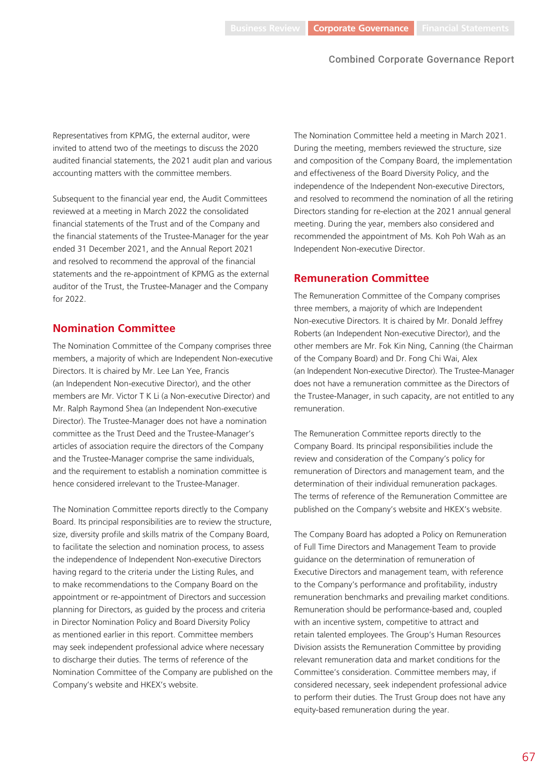Representatives from KPMG, the external auditor, were invited to attend two of the meetings to discuss the 2020 audited financial statements, the 2021 audit plan and various accounting matters with the committee members.

Subsequent to the financial year end, the Audit Committees reviewed at a meeting in March 2022 the consolidated financial statements of the Trust and of the Company and the financial statements of the Trustee-Manager for the year ended 31 December 2021, and the Annual Report 2021 and resolved to recommend the approval of the financial statements and the re-appointment of KPMG as the external auditor of the Trust, the Trustee-Manager and the Company for 2022.

## **Nomination Committee**

The Nomination Committee of the Company comprises three members, a majority of which are Independent Non-executive Directors. It is chaired by Mr. Lee Lan Yee, Francis (an Independent Non-executive Director), and the other members are Mr. Victor T K Li (a Non-executive Director) and Mr. Ralph Raymond Shea (an Independent Non-executive Director). The Trustee-Manager does not have a nomination committee as the Trust Deed and the Trustee-Manager's articles of association require the directors of the Company and the Trustee-Manager comprise the same individuals, and the requirement to establish a nomination committee is hence considered irrelevant to the Trustee-Manager.

The Nomination Committee reports directly to the Company Board. Its principal responsibilities are to review the structure, size, diversity profile and skills matrix of the Company Board, to facilitate the selection and nomination process, to assess the independence of Independent Non-executive Directors having regard to the criteria under the Listing Rules, and to make recommendations to the Company Board on the appointment or re-appointment of Directors and succession planning for Directors, as guided by the process and criteria in Director Nomination Policy and Board Diversity Policy as mentioned earlier in this report. Committee members may seek independent professional advice where necessary to discharge their duties. The terms of reference of the Nomination Committee of the Company are published on the Company's website and HKEX's website.

The Nomination Committee held a meeting in March 2021. During the meeting, members reviewed the structure, size and composition of the Company Board, the implementation and effectiveness of the Board Diversity Policy, and the independence of the Independent Non-executive Directors, and resolved to recommend the nomination of all the retiring Directors standing for re-election at the 2021 annual general meeting. During the year, members also considered and recommended the appointment of Ms. Koh Poh Wah as an Independent Non-executive Director.

## **Remuneration Committee**

The Remuneration Committee of the Company comprises three members, a majority of which are Independent Non-executive Directors. It is chaired by Mr. Donald Jeffrey Roberts (an Independent Non-executive Director), and the other members are Mr. Fok Kin Ning, Canning (the Chairman of the Company Board) and Dr. Fong Chi Wai, Alex (an Independent Non-executive Director). The Trustee-Manager does not have a remuneration committee as the Directors of the Trustee-Manager, in such capacity, are not entitled to any remuneration.

The Remuneration Committee reports directly to the Company Board. Its principal responsibilities include the review and consideration of the Company's policy for remuneration of Directors and management team, and the determination of their individual remuneration packages. The terms of reference of the Remuneration Committee are published on the Company's website and HKEX's website.

The Company Board has adopted a Policy on Remuneration of Full Time Directors and Management Team to provide guidance on the determination of remuneration of Executive Directors and management team, with reference to the Company's performance and profitability, industry remuneration benchmarks and prevailing market conditions. Remuneration should be performance-based and, coupled with an incentive system, competitive to attract and retain talented employees. The Group's Human Resources Division assists the Remuneration Committee by providing relevant remuneration data and market conditions for the Committee's consideration. Committee members may, if considered necessary, seek independent professional advice to perform their duties. The Trust Group does not have any equity-based remuneration during the year.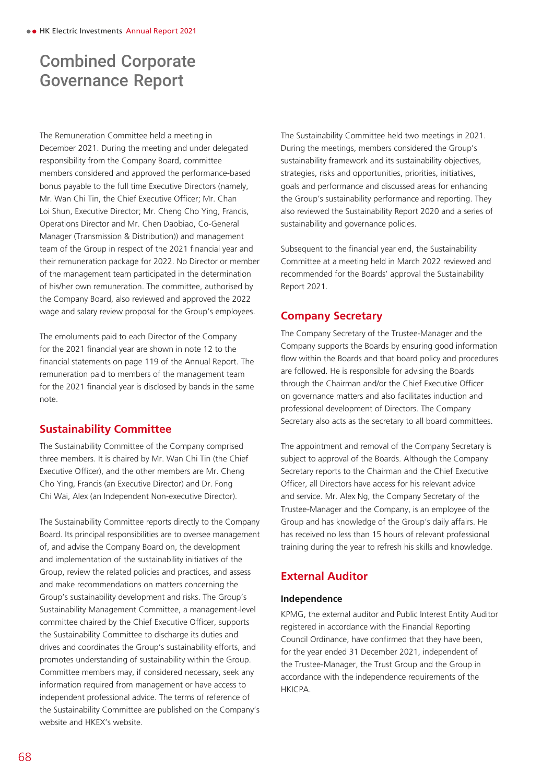The Remuneration Committee held a meeting in December 2021. During the meeting and under delegated responsibility from the Company Board, committee members considered and approved the performance-based bonus payable to the full time Executive Directors (namely, Mr. Wan Chi Tin, the Chief Executive Officer; Mr. Chan Loi Shun, Executive Director; Mr. Cheng Cho Ying, Francis, Operations Director and Mr. Chen Daobiao, Co-General Manager (Transmission & Distribution)) and management team of the Group in respect of the 2021 financial year and their remuneration package for 2022. No Director or member of the management team participated in the determination of his/her own remuneration. The committee, authorised by the Company Board, also reviewed and approved the 2022 wage and salary review proposal for the Group's employees.

The emoluments paid to each Director of the Company for the 2021 financial year are shown in note 12 to the financial statements on page 119 of the Annual Report. The remuneration paid to members of the management team for the 2021 financial year is disclosed by bands in the same note.

## **Sustainability Committee**

The Sustainability Committee of the Company comprised three members. It is chaired by Mr. Wan Chi Tin (the Chief Executive Officer), and the other members are Mr. Cheng Cho Ying, Francis (an Executive Director) and Dr. Fong Chi Wai, Alex (an Independent Non-executive Director).

The Sustainability Committee reports directly to the Company Board. Its principal responsibilities are to oversee management of, and advise the Company Board on, the development and implementation of the sustainability initiatives of the Group, review the related policies and practices, and assess and make recommendations on matters concerning the Group's sustainability development and risks. The Group's Sustainability Management Committee, a management-level committee chaired by the Chief Executive Officer, supports the Sustainability Committee to discharge its duties and drives and coordinates the Group's sustainability efforts, and promotes understanding of sustainability within the Group. Committee members may, if considered necessary, seek any information required from management or have access to independent professional advice. The terms of reference of the Sustainability Committee are published on the Company's website and HKEX's website.

The Sustainability Committee held two meetings in 2021. During the meetings, members considered the Group's sustainability framework and its sustainability objectives, strategies, risks and opportunities, priorities, initiatives, goals and performance and discussed areas for enhancing the Group's sustainability performance and reporting. They also reviewed the Sustainability Report 2020 and a series of sustainability and governance policies.

Subsequent to the financial year end, the Sustainability Committee at a meeting held in March 2022 reviewed and recommended for the Boards' approval the Sustainability Report 2021.

## **Company Secretary**

The Company Secretary of the Trustee-Manager and the Company supports the Boards by ensuring good information flow within the Boards and that board policy and procedures are followed. He is responsible for advising the Boards through the Chairman and/or the Chief Executive Officer on governance matters and also facilitates induction and professional development of Directors. The Company Secretary also acts as the secretary to all board committees.

The appointment and removal of the Company Secretary is subject to approval of the Boards. Although the Company Secretary reports to the Chairman and the Chief Executive Officer, all Directors have access for his relevant advice and service. Mr. Alex Ng, the Company Secretary of the Trustee-Manager and the Company, is an employee of the Group and has knowledge of the Group's daily affairs. He has received no less than 15 hours of relevant professional training during the year to refresh his skills and knowledge.

## **External Auditor**

## **Independence**

KPMG, the external auditor and Public Interest Entity Auditor registered in accordance with the Financial Reporting Council Ordinance, have confirmed that they have been, for the year ended 31 December 2021, independent of the Trustee-Manager, the Trust Group and the Group in accordance with the independence requirements of the HKICPA.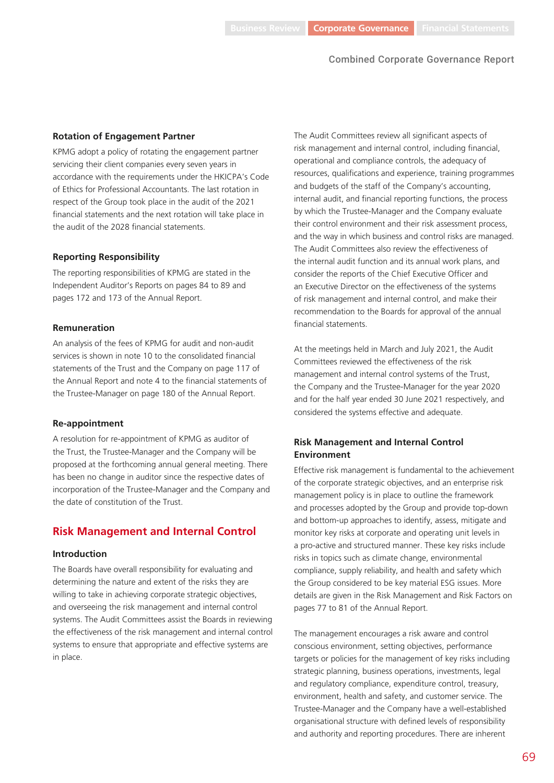#### **Rotation of Engagement Partner**

KPMG adopt a policy of rotating the engagement partner servicing their client companies every seven years in accordance with the requirements under the HKICPA's Code of Ethics for Professional Accountants. The last rotation in respect of the Group took place in the audit of the 2021 financial statements and the next rotation will take place in the audit of the 2028 financial statements.

#### **Reporting Responsibility**

The reporting responsibilities of KPMG are stated in the Independent Auditor's Reports on pages 84 to 89 and pages 172 and 173 of the Annual Report.

#### **Remuneration**

An analysis of the fees of KPMG for audit and non-audit services is shown in note 10 to the consolidated financial statements of the Trust and the Company on page 117 of the Annual Report and note 4 to the financial statements of the Trustee-Manager on page 180 of the Annual Report.

#### **Re-appointment**

A resolution for re-appointment of KPMG as auditor of the Trust, the Trustee-Manager and the Company will be proposed at the forthcoming annual general meeting. There has been no change in auditor since the respective dates of incorporation of the Trustee-Manager and the Company and the date of constitution of the Trust.

#### **Risk Management and Internal Control**

#### **Introduction**

The Boards have overall responsibility for evaluating and determining the nature and extent of the risks they are willing to take in achieving corporate strategic objectives, and overseeing the risk management and internal control systems. The Audit Committees assist the Boards in reviewing the effectiveness of the risk management and internal control systems to ensure that appropriate and effective systems are in place.

The Audit Committees review all significant aspects of risk management and internal control, including financial, operational and compliance controls, the adequacy of resources, qualifications and experience, training programmes and budgets of the staff of the Company's accounting, internal audit, and financial reporting functions, the process by which the Trustee-Manager and the Company evaluate their control environment and their risk assessment process, and the way in which business and control risks are managed. The Audit Committees also review the effectiveness of the internal audit function and its annual work plans, and consider the reports of the Chief Executive Officer and an Executive Director on the effectiveness of the systems of risk management and internal control, and make their recommendation to the Boards for approval of the annual financial statements.

At the meetings held in March and July 2021, the Audit Committees reviewed the effectiveness of the risk management and internal control systems of the Trust, the Company and the Trustee-Manager for the year 2020 and for the half year ended 30 June 2021 respectively, and considered the systems effective and adequate.

## **Risk Management and Internal Control Environment**

Effective risk management is fundamental to the achievement of the corporate strategic objectives, and an enterprise risk management policy is in place to outline the framework and processes adopted by the Group and provide top-down and bottom-up approaches to identify, assess, mitigate and monitor key risks at corporate and operating unit levels in a pro-active and structured manner. These key risks include risks in topics such as climate change, environmental compliance, supply reliability, and health and safety which the Group considered to be key material ESG issues. More details are given in the Risk Management and Risk Factors on pages 77 to 81 of the Annual Report.

The management encourages a risk aware and control conscious environment, setting objectives, performance targets or policies for the management of key risks including strategic planning, business operations, investments, legal and regulatory compliance, expenditure control, treasury, environment, health and safety, and customer service. The Trustee-Manager and the Company have a well-established organisational structure with defined levels of responsibility and authority and reporting procedures. There are inherent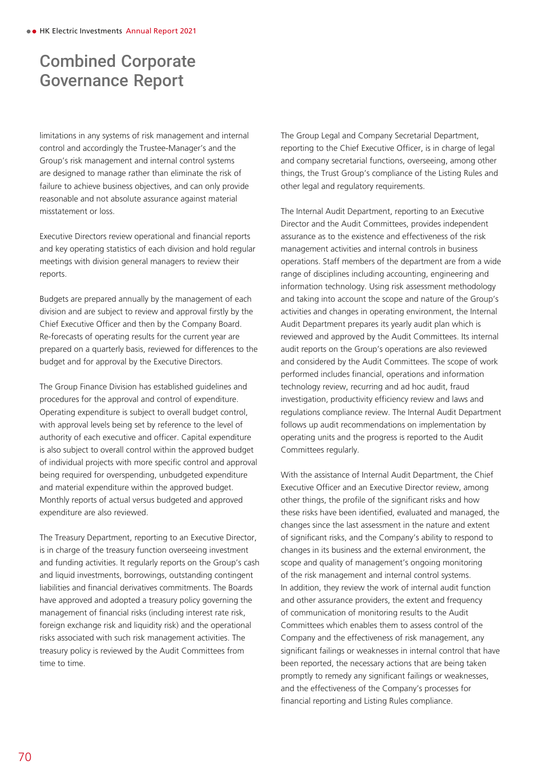limitations in any systems of risk management and internal control and accordingly the Trustee-Manager's and the Group's risk management and internal control systems are designed to manage rather than eliminate the risk of failure to achieve business objectives, and can only provide reasonable and not absolute assurance against material misstatement or loss.

Executive Directors review operational and financial reports and key operating statistics of each division and hold regular meetings with division general managers to review their reports.

Budgets are prepared annually by the management of each division and are subject to review and approval firstly by the Chief Executive Officer and then by the Company Board. Re-forecasts of operating results for the current year are prepared on a quarterly basis, reviewed for differences to the budget and for approval by the Executive Directors.

The Group Finance Division has established guidelines and procedures for the approval and control of expenditure. Operating expenditure is subject to overall budget control, with approval levels being set by reference to the level of authority of each executive and officer. Capital expenditure is also subject to overall control within the approved budget of individual projects with more specific control and approval being required for overspending, unbudgeted expenditure and material expenditure within the approved budget. Monthly reports of actual versus budgeted and approved expenditure are also reviewed.

The Treasury Department, reporting to an Executive Director, is in charge of the treasury function overseeing investment and funding activities. It regularly reports on the Group's cash and liquid investments, borrowings, outstanding contingent liabilities and financial derivatives commitments. The Boards have approved and adopted a treasury policy governing the management of financial risks (including interest rate risk, foreign exchange risk and liquidity risk) and the operational risks associated with such risk management activities. The treasury policy is reviewed by the Audit Committees from time to time.

The Group Legal and Company Secretarial Department, reporting to the Chief Executive Officer, is in charge of legal and company secretarial functions, overseeing, among other things, the Trust Group's compliance of the Listing Rules and other legal and regulatory requirements.

The Internal Audit Department, reporting to an Executive Director and the Audit Committees, provides independent assurance as to the existence and effectiveness of the risk management activities and internal controls in business operations. Staff members of the department are from a wide range of disciplines including accounting, engineering and information technology. Using risk assessment methodology and taking into account the scope and nature of the Group's activities and changes in operating environment, the Internal Audit Department prepares its yearly audit plan which is reviewed and approved by the Audit Committees. Its internal audit reports on the Group's operations are also reviewed and considered by the Audit Committees. The scope of work performed includes financial, operations and information technology review, recurring and ad hoc audit, fraud investigation, productivity efficiency review and laws and regulations compliance review. The Internal Audit Department follows up audit recommendations on implementation by operating units and the progress is reported to the Audit Committees regularly.

With the assistance of Internal Audit Department, the Chief Executive Officer and an Executive Director review, among other things, the profile of the significant risks and how these risks have been identified, evaluated and managed, the changes since the last assessment in the nature and extent of significant risks, and the Company's ability to respond to changes in its business and the external environment, the scope and quality of management's ongoing monitoring of the risk management and internal control systems. In addition, they review the work of internal audit function and other assurance providers, the extent and frequency of communication of monitoring results to the Audit Committees which enables them to assess control of the Company and the effectiveness of risk management, any significant failings or weaknesses in internal control that have been reported, the necessary actions that are being taken promptly to remedy any significant failings or weaknesses, and the effectiveness of the Company's processes for financial reporting and Listing Rules compliance.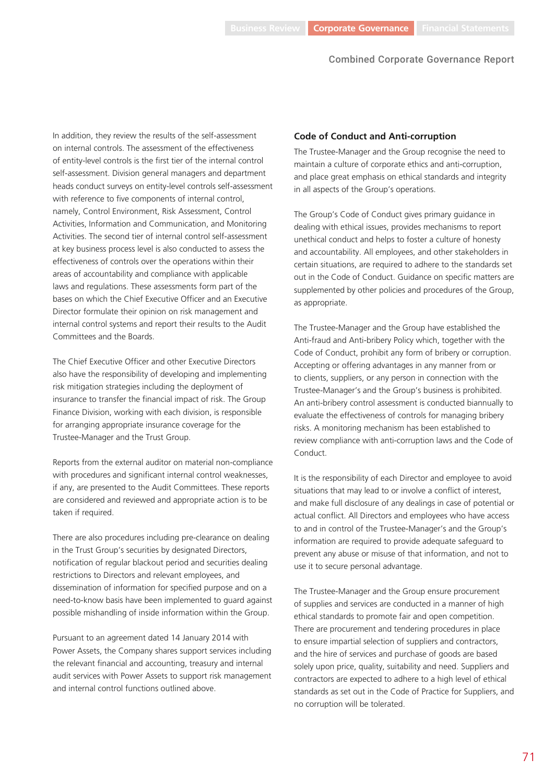In addition, they review the results of the self-assessment on internal controls. The assessment of the effectiveness of entity-level controls is the first tier of the internal control self-assessment. Division general managers and department heads conduct surveys on entity-level controls self-assessment with reference to five components of internal control, namely, Control Environment, Risk Assessment, Control Activities, Information and Communication, and Monitoring Activities. The second tier of internal control self-assessment at key business process level is also conducted to assess the effectiveness of controls over the operations within their areas of accountability and compliance with applicable laws and regulations. These assessments form part of the bases on which the Chief Executive Officer and an Executive Director formulate their opinion on risk management and internal control systems and report their results to the Audit Committees and the Boards.

The Chief Executive Officer and other Executive Directors also have the responsibility of developing and implementing risk mitigation strategies including the deployment of insurance to transfer the financial impact of risk. The Group Finance Division, working with each division, is responsible for arranging appropriate insurance coverage for the Trustee-Manager and the Trust Group.

Reports from the external auditor on material non-compliance with procedures and significant internal control weaknesses, if any, are presented to the Audit Committees. These reports are considered and reviewed and appropriate action is to be taken if required.

There are also procedures including pre-clearance on dealing in the Trust Group's securities by designated Directors, notification of regular blackout period and securities dealing restrictions to Directors and relevant employees, and dissemination of information for specified purpose and on a need-to-know basis have been implemented to guard against possible mishandling of inside information within the Group.

Pursuant to an agreement dated 14 January 2014 with Power Assets, the Company shares support services including the relevant financial and accounting, treasury and internal audit services with Power Assets to support risk management and internal control functions outlined above.

#### **Code of Conduct and Anti-corruption**

The Trustee-Manager and the Group recognise the need to maintain a culture of corporate ethics and anti-corruption, and place great emphasis on ethical standards and integrity in all aspects of the Group's operations.

The Group's Code of Conduct gives primary guidance in dealing with ethical issues, provides mechanisms to report unethical conduct and helps to foster a culture of honesty and accountability. All employees, and other stakeholders in certain situations, are required to adhere to the standards set out in the Code of Conduct. Guidance on specific matters are supplemented by other policies and procedures of the Group, as appropriate.

The Trustee-Manager and the Group have established the Anti-fraud and Anti-bribery Policy which, together with the Code of Conduct, prohibit any form of bribery or corruption. Accepting or offering advantages in any manner from or to clients, suppliers, or any person in connection with the Trustee-Manager's and the Group's business is prohibited. An anti-bribery control assessment is conducted biannually to evaluate the effectiveness of controls for managing bribery risks. A monitoring mechanism has been established to review compliance with anti-corruption laws and the Code of Conduct.

It is the responsibility of each Director and employee to avoid situations that may lead to or involve a conflict of interest, and make full disclosure of any dealings in case of potential or actual conflict. All Directors and employees who have access to and in control of the Trustee-Manager's and the Group's information are required to provide adequate safeguard to prevent any abuse or misuse of that information, and not to use it to secure personal advantage.

The Trustee-Manager and the Group ensure procurement of supplies and services are conducted in a manner of high ethical standards to promote fair and open competition. There are procurement and tendering procedures in place to ensure impartial selection of suppliers and contractors, and the hire of services and purchase of goods are based solely upon price, quality, suitability and need. Suppliers and contractors are expected to adhere to a high level of ethical standards as set out in the Code of Practice for Suppliers, and no corruption will be tolerated.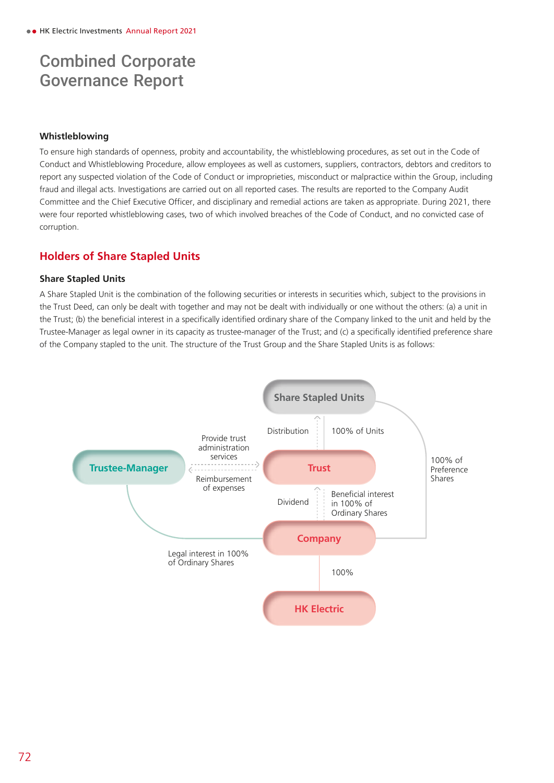## **Whistleblowing**

To ensure high standards of openness, probity and accountability, the whistleblowing procedures, as set out in the Code of Conduct and Whistleblowing Procedure, allow employees as well as customers, suppliers, contractors, debtors and creditors to report any suspected violation of the Code of Conduct or improprieties, misconduct or malpractice within the Group, including fraud and illegal acts. Investigations are carried out on all reported cases. The results are reported to the Company Audit Committee and the Chief Executive Officer, and disciplinary and remedial actions are taken as appropriate. During 2021, there were four reported whistleblowing cases, two of which involved breaches of the Code of Conduct, and no convicted case of corruption.

## **Holders of Share Stapled Units**

## **Share Stapled Units**

A Share Stapled Unit is the combination of the following securities or interests in securities which, subject to the provisions in the Trust Deed, can only be dealt with together and may not be dealt with individually or one without the others: (a) a unit in the Trust; (b) the beneficial interest in a specifically identified ordinary share of the Company linked to the unit and held by the Trustee-Manager as legal owner in its capacity as trustee-manager of the Trust; and (c) a specifically identified preference share of the Company stapled to the unit. The structure of the Trust Group and the Share Stapled Units is as follows:

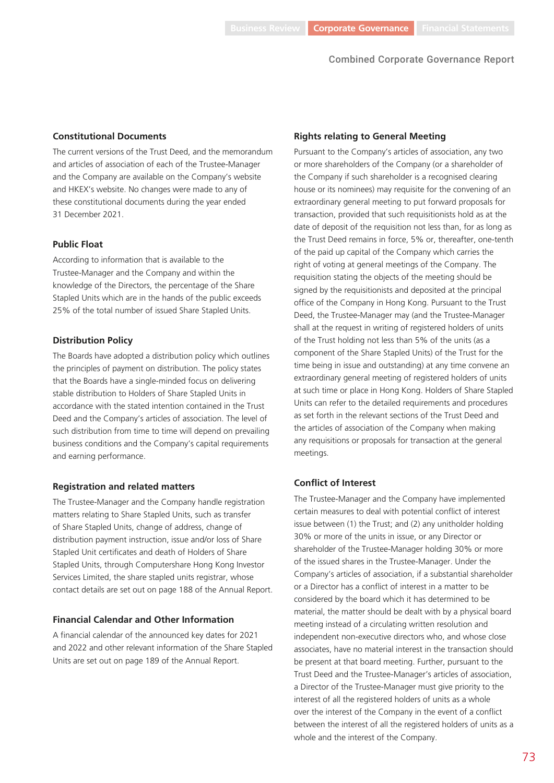#### **Constitutional Documents**

The current versions of the Trust Deed, and the memorandum and articles of association of each of the Trustee-Manager and the Company are available on the Company's website and HKEX's website. No changes were made to any of these constitutional documents during the year ended 31 December 2021.

#### **Public Float**

According to information that is available to the Trustee-Manager and the Company and within the knowledge of the Directors, the percentage of the Share Stapled Units which are in the hands of the public exceeds 25% of the total number of issued Share Stapled Units.

#### **Distribution Policy**

The Boards have adopted a distribution policy which outlines the principles of payment on distribution. The policy states that the Boards have a single-minded focus on delivering stable distribution to Holders of Share Stapled Units in accordance with the stated intention contained in the Trust Deed and the Company's articles of association. The level of such distribution from time to time will depend on prevailing business conditions and the Company's capital requirements and earning performance.

#### **Registration and related matters**

The Trustee-Manager and the Company handle registration matters relating to Share Stapled Units, such as transfer of Share Stapled Units, change of address, change of distribution payment instruction, issue and/or loss of Share Stapled Unit certificates and death of Holders of Share Stapled Units, through Computershare Hong Kong Investor Services Limited, the share stapled units registrar, whose contact details are set out on page 188 of the Annual Report.

#### **Financial Calendar and Other Information**

A financial calendar of the announced key dates for 2021 and 2022 and other relevant information of the Share Stapled Units are set out on page 189 of the Annual Report.

#### **Rights relating to General Meeting**

Pursuant to the Company's articles of association, any two or more shareholders of the Company (or a shareholder of the Company if such shareholder is a recognised clearing house or its nominees) may requisite for the convening of an extraordinary general meeting to put forward proposals for transaction, provided that such requisitionists hold as at the date of deposit of the requisition not less than, for as long as the Trust Deed remains in force, 5% or, thereafter, one-tenth of the paid up capital of the Company which carries the right of voting at general meetings of the Company. The requisition stating the objects of the meeting should be signed by the requisitionists and deposited at the principal office of the Company in Hong Kong. Pursuant to the Trust Deed, the Trustee-Manager may (and the Trustee-Manager shall at the request in writing of registered holders of units of the Trust holding not less than 5% of the units (as a component of the Share Stapled Units) of the Trust for the time being in issue and outstanding) at any time convene an extraordinary general meeting of registered holders of units at such time or place in Hong Kong. Holders of Share Stapled Units can refer to the detailed requirements and procedures as set forth in the relevant sections of the Trust Deed and the articles of association of the Company when making any requisitions or proposals for transaction at the general meetings.

## **Conflict of Interest**

The Trustee-Manager and the Company have implemented certain measures to deal with potential conflict of interest issue between (1) the Trust; and (2) any unitholder holding 30% or more of the units in issue, or any Director or shareholder of the Trustee-Manager holding 30% or more of the issued shares in the Trustee-Manager. Under the Company's articles of association, if a substantial shareholder or a Director has a conflict of interest in a matter to be considered by the board which it has determined to be material, the matter should be dealt with by a physical board meeting instead of a circulating written resolution and independent non-executive directors who, and whose close associates, have no material interest in the transaction should be present at that board meeting. Further, pursuant to the Trust Deed and the Trustee-Manager's articles of association, a Director of the Trustee-Manager must give priority to the interest of all the registered holders of units as a whole over the interest of the Company in the event of a conflict between the interest of all the registered holders of units as a whole and the interest of the Company.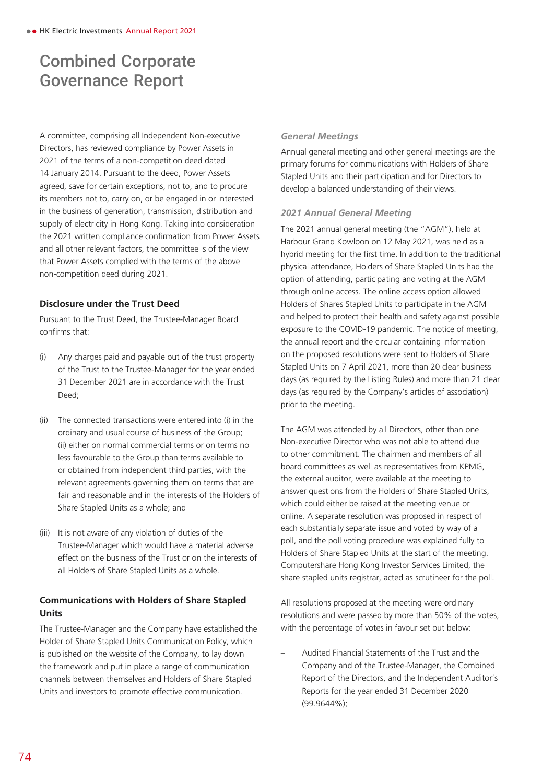A committee, comprising all Independent Non-executive Directors, has reviewed compliance by Power Assets in 2021 of the terms of a non-competition deed dated 14 January 2014. Pursuant to the deed, Power Assets agreed, save for certain exceptions, not to, and to procure its members not to, carry on, or be engaged in or interested in the business of generation, transmission, distribution and supply of electricity in Hong Kong. Taking into consideration the 2021 written compliance confirmation from Power Assets and all other relevant factors, the committee is of the view that Power Assets complied with the terms of the above non-competition deed during 2021.

## **Disclosure under the Trust Deed**

Pursuant to the Trust Deed, the Trustee-Manager Board confirms that:

- (i) Any charges paid and payable out of the trust property of the Trust to the Trustee-Manager for the year ended 31 December 2021 are in accordance with the Trust Deed;
- (ii) The connected transactions were entered into (i) in the ordinary and usual course of business of the Group; (ii) either on normal commercial terms or on terms no less favourable to the Group than terms available to or obtained from independent third parties, with the relevant agreements governing them on terms that are fair and reasonable and in the interests of the Holders of Share Stapled Units as a whole; and
- (iii) It is not aware of any violation of duties of the Trustee-Manager which would have a material adverse effect on the business of the Trust or on the interests of all Holders of Share Stapled Units as a whole.

## **Communications with Holders of Share Stapled Units**

The Trustee-Manager and the Company have established the Holder of Share Stapled Units Communication Policy, which is published on the website of the Company, to lay down the framework and put in place a range of communication channels between themselves and Holders of Share Stapled Units and investors to promote effective communication.

## *General Meetings*

Annual general meeting and other general meetings are the primary forums for communications with Holders of Share Stapled Units and their participation and for Directors to develop a balanced understanding of their views.

## *2021 Annual General Meeting*

The 2021 annual general meeting (the "AGM"), held at Harbour Grand Kowloon on 12 May 2021, was held as a hybrid meeting for the first time. In addition to the traditional physical attendance, Holders of Share Stapled Units had the option of attending, participating and voting at the AGM through online access. The online access option allowed Holders of Shares Stapled Units to participate in the AGM and helped to protect their health and safety against possible exposure to the COVID-19 pandemic. The notice of meeting, the annual report and the circular containing information on the proposed resolutions were sent to Holders of Share Stapled Units on 7 April 2021, more than 20 clear business days (as required by the Listing Rules) and more than 21 clear days (as required by the Company's articles of association) prior to the meeting.

The AGM was attended by all Directors, other than one Non-executive Director who was not able to attend due to other commitment. The chairmen and members of all board committees as well as representatives from KPMG, the external auditor, were available at the meeting to answer questions from the Holders of Share Stapled Units, which could either be raised at the meeting venue or online. A separate resolution was proposed in respect of each substantially separate issue and voted by way of a poll, and the poll voting procedure was explained fully to Holders of Share Stapled Units at the start of the meeting. Computershare Hong Kong Investor Services Limited, the share stapled units registrar, acted as scrutineer for the poll.

All resolutions proposed at the meeting were ordinary resolutions and were passed by more than 50% of the votes, with the percentage of votes in favour set out below:

– Audited Financial Statements of the Trust and the Company and of the Trustee-Manager, the Combined Report of the Directors, and the Independent Auditor's Reports for the year ended 31 December 2020 (99.9644%);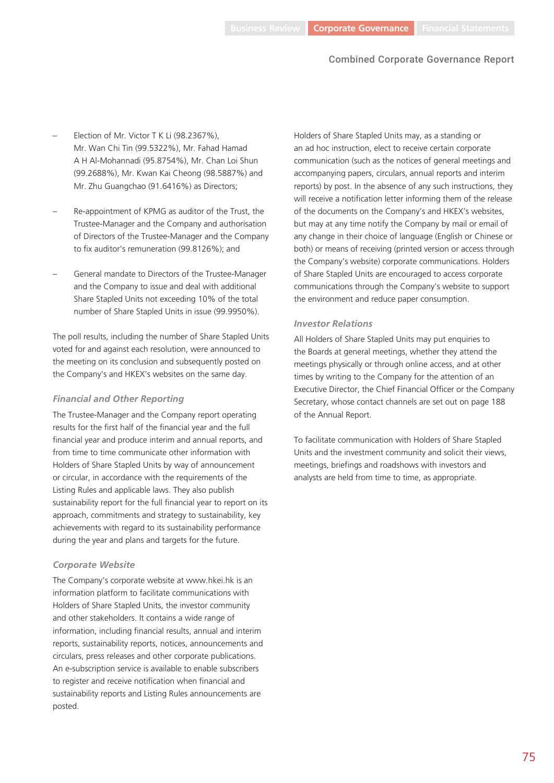- Election of Mr. Victor T K Li (98.2367%), Mr. Wan Chi Tin (99.5322%), Mr. Fahad Hamad A H Al-Mohannadi (95.8754%), Mr. Chan Loi Shun (99.2688%), Mr. Kwan Kai Cheong (98.5887%) and Mr. Zhu Guangchao (91.6416%) as Directors;
- Re-appointment of KPMG as auditor of the Trust, the Trustee-Manager and the Company and authorisation of Directors of the Trustee-Manager and the Company to fix auditor's remuneration (99.8126%); and
- General mandate to Directors of the Trustee-Manager and the Company to issue and deal with additional Share Stapled Units not exceeding 10% of the total number of Share Stapled Units in issue (99.9950%).

The poll results, including the number of Share Stapled Units voted for and against each resolution, were announced to the meeting on its conclusion and subsequently posted on the Company's and HKEX's websites on the same day.

#### *Financial and Other Reporting*

The Trustee-Manager and the Company report operating results for the first half of the financial year and the full financial year and produce interim and annual reports, and from time to time communicate other information with Holders of Share Stapled Units by way of announcement or circular, in accordance with the requirements of the Listing Rules and applicable laws. They also publish sustainability report for the full financial year to report on its approach, commitments and strategy to sustainability, key achievements with regard to its sustainability performance during the year and plans and targets for the future.

## *Corporate Website*

The Company's corporate website at www.hkei.hk is an information platform to facilitate communications with Holders of Share Stapled Units, the investor community and other stakeholders. It contains a wide range of information, including financial results, annual and interim reports, sustainability reports, notices, announcements and circulars, press releases and other corporate publications. An e-subscription service is available to enable subscribers to register and receive notification when financial and sustainability reports and Listing Rules announcements are posted.

Holders of Share Stapled Units may, as a standing or an ad hoc instruction, elect to receive certain corporate communication (such as the notices of general meetings and accompanying papers, circulars, annual reports and interim reports) by post. In the absence of any such instructions, they will receive a notification letter informing them of the release of the documents on the Company's and HKEX's websites, but may at any time notify the Company by mail or email of any change in their choice of language (English or Chinese or both) or means of receiving (printed version or access through the Company's website) corporate communications. Holders of Share Stapled Units are encouraged to access corporate communications through the Company's website to support the environment and reduce paper consumption.

## *Investor Relations*

All Holders of Share Stapled Units may put enquiries to the Boards at general meetings, whether they attend the meetings physically or through online access, and at other times by writing to the Company for the attention of an Executive Director, the Chief Financial Officer or the Company Secretary, whose contact channels are set out on page 188 of the Annual Report.

To facilitate communication with Holders of Share Stapled Units and the investment community and solicit their views, meetings, briefings and roadshows with investors and analysts are held from time to time, as appropriate.